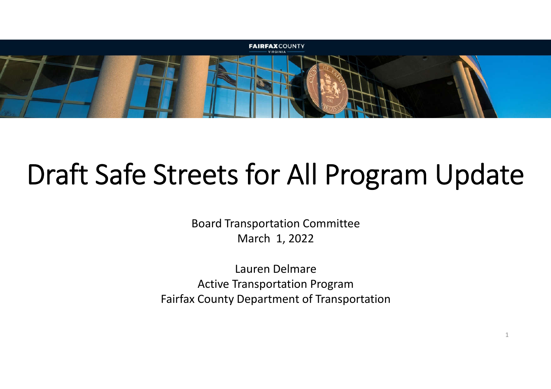

## Draft Safe Streets for All Program Update

Board Transportation Committee March 1, 2022

Lauren Delmare Active Transportation Program Fairfax County Department of Transportation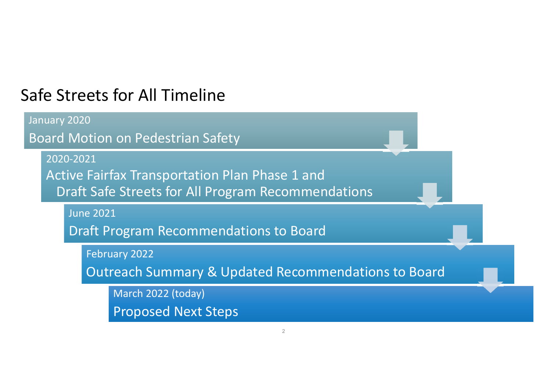#### Safe Streets for All Timeline

January 2020 Board Motion on Pedestrian Safety 2020-2021 Active Fairfax Transportation Plan Phase 1 and Draft Safe Streets for All Program Recommendations June 2021 Draft Program Recommendations to Board February 2022

Outreach Summary & Updated Recommendations to Board

March 2022 (today) Proposed Next Steps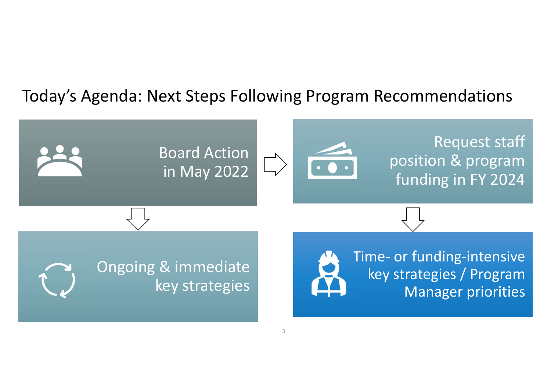#### Today's Agenda: Next Steps Following Program Recommendations

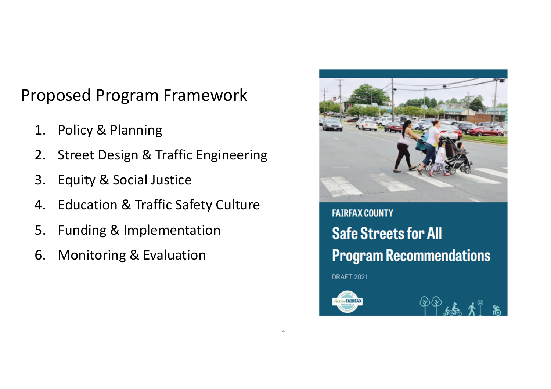#### Proposed Program Framework

- 1. Policy & Planning
- 2. Street Design & Traffic Engineering
- 3. Equity & Social Justice
- 4. Education & Traffic Safety Culture
- 5. Funding & Implementation
- 6. Monitoring & Evaluation



**FAIRFAX COUNTY Safe Streets for All Program Recommendations** 

**DRAFT 2021** 

4

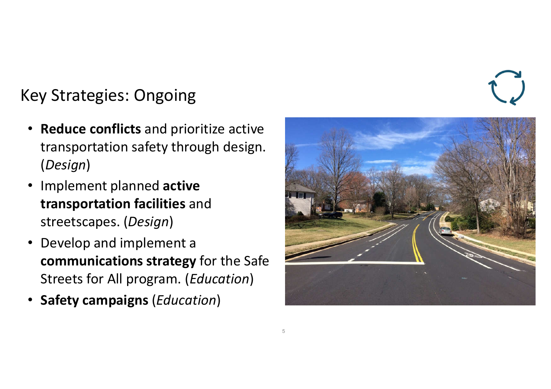#### Key Strategies: Ongoing

- **Reduce conflicts** and prioritize active transportation safety through design. (*Design*)
- Implement planned **active transportation facilities** and streetscapes. (*Design*)
- Develop and implement a **communications strategy** for the Safe Streets for All program. (*Education*)
- **Safety campaigns** (*Education*)

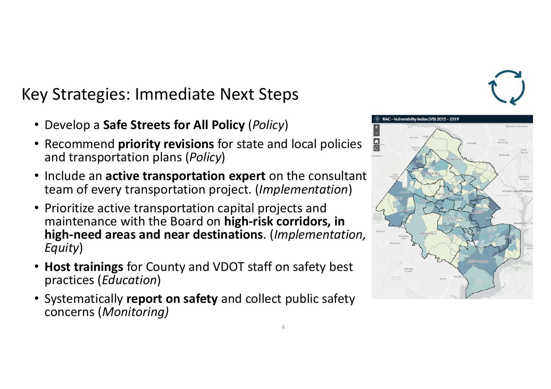#### Key Strategies: Immediate Next Steps

- Develop a **Safe Streets for All Policy** (*Policy*)
- Recommend **priority revisions** for state and local policies and transportation plans (*Policy*)
- Include an **active transportation expert** on the consultant team of every transportation project. (*Implementation*)
- Prioritize active transportation capital projects and maintenance with the Board on **high-risk corridors, in high-need areas and near destinations**. (*Implementation, Equity*)
- **Host trainings** for County and VDOT staff on safety best practices (*Education*)
- Systematically **report on safety** and collect public safety concerns (*Monitoring)*

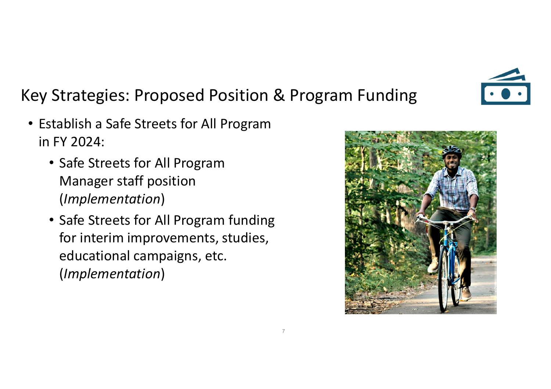

#### Key Strategies: Proposed Position & Program Funding

7

- Establish a Safe Streets for All Program in FY 2024:
	- Manager staff position • Safe Streets for All Program (*Implementation*)
	- Safe Streets for All Program funding for interim improvements, studies, educational campaigns, etc. (*Implementation*)

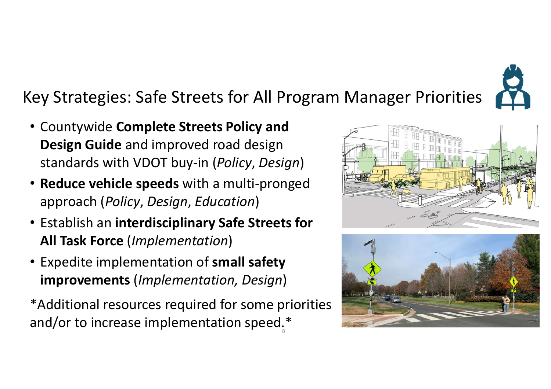

### Key Strategies: Safe Streets for All Program Manager Priorities

- standards with VDOT buy-in (*Policy*, *Design*) • Countywide **Complete Streets Policy and Design Guide** and improved road design
- **Reduce vehicle speeds** with a multi-pronged approach (*Policy*, *Design*, *Education*)
- Establish an **interdisciplinary Safe Streets for All Task Force** (*Implementation*)
- Expedite implementation of **small safety improvements** (*Implementation, Design*)

\*Additional resources required for some priorities and/or to increase implementation speed.\*



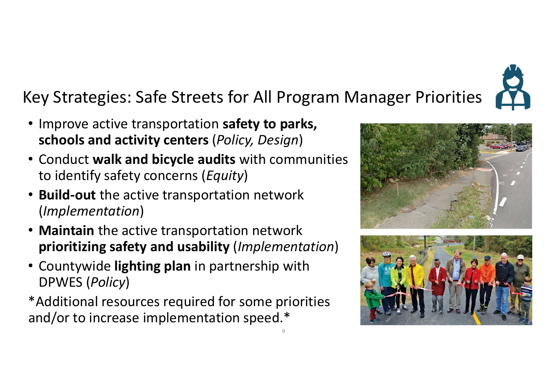# Key Strategies: Safe Streets for All Program Manager Priorities

9

- Improve active transportation **safety to parks, schools and activity centers** (*Policy, Design*)
- Conduct **walk and bicycle audits** with communities to identify safety concerns (*Equity*)
- **Build-out** the active transportation network (*Implementation*)
- **Maintain** the active transportation network **prioritizing safety and usability** (*Implementation*)
- • Countywide **lighting plan** in partnership with DPWES (*Policy*)
- \*Additional resources required for some priorities and/or to increase implementation speed.\*